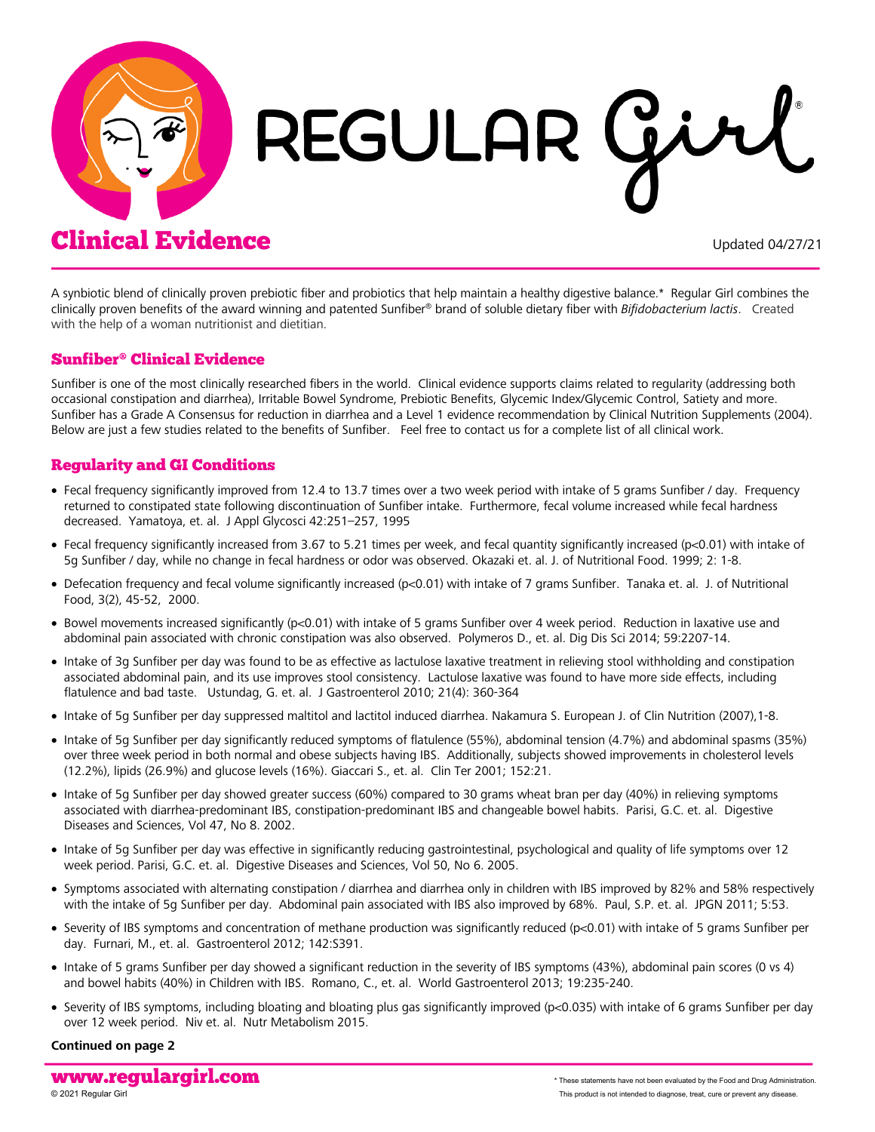

# REGULAR G

# Clinical Evidence Updated 04/27/21

A synbiotic blend of clinically proven prebiotic fiber and probiotics that help maintain a healthy digestive balance.\* Regular Girl combines the clinically proven benefits of the award winning and patented Sunfiber® brand of soluble dietary fiber with *Bifidobacterium lactis*. Created with the help of a woman nutritionist and dietitian.

# Sunfiber® Clinical Evidence

Sunfiber is one of the most clinically researched fibers in the world. Clinical evidence supports claims related to regularity (addressing both occasional constipation and diarrhea), Irritable Bowel Syndrome, Prebiotic Benefits, Glycemic Index/Glycemic Control, Satiety and more. Sunfiber has a Grade A Consensus for reduction in diarrhea and a Level 1 evidence recommendation by Clinical Nutrition Supplements (2004). Below are just a few studies related to the benefits of Sunfiber. Feel free to contact us for a complete list of all clinical work.

# Regularity and GI Conditions

- Fecal frequency significantly improved from 12.4 to 13.7 times over a two week period with intake of 5 grams Sunfiber / day. Frequency returned to constipated state following discontinuation of Sunfiber intake. Furthermore, fecal volume increased while fecal hardness decreased. Yamatoya, et. al. J Appl Glycosci 42:251–257, 1995
- Fecal frequency significantly increased from 3.67 to 5.21 times per week, and fecal quantity significantly increased (p<0.01) with intake of 5g Sunfiber / day, while no change in fecal hardness or odor was observed. Okazaki et. al. J. of Nutritional Food. 1999; 2: 1-8.
- Defecation frequency and fecal volume significantly increased (p<0.01) with intake of 7 grams Sunfiber. Tanaka et. al. J. of Nutritional Food, 3(2), 45-52, 2000.
- Bowel movements increased significantly (p<0.01) with intake of 5 grams Sunfiber over 4 week period. Reduction in laxative use and abdominal pain associated with chronic constipation was also observed. Polymeros D., et. al. Dig Dis Sci 2014; 59:2207-14.
- Intake of 3g Sunfiber per day was found to be as effective as lactulose laxative treatment in relieving stool withholding and constipation associated abdominal pain, and its use improves stool consistency. Lactulose laxative was found to have more side effects, including flatulence and bad taste. Ustundag, G. et. al. J Gastroenterol 2010; 21(4): 360-364
- Intake of 5g Sunfiber per day suppressed maltitol and lactitol induced diarrhea. Nakamura S. European J. of Clin Nutrition (2007),1-8.
- Intake of 5g Sunfiber per day significantly reduced symptoms of flatulence (55%), abdominal tension (4.7%) and abdominal spasms (35%) over three week period in both normal and obese subjects having IBS. Additionally, subjects showed improvements in cholesterol levels (12.2%), lipids (26.9%) and glucose levels (16%). Giaccari S., et. al. Clin Ter 2001; 152:21.
- Intake of 5g Sunfiber per day showed greater success (60%) compared to 30 grams wheat bran per day (40%) in relieving symptoms associated with diarrhea-predominant IBS, constipation-predominant IBS and changeable bowel habits. Parisi, G.C. et. al. Digestive Diseases and Sciences, Vol 47, No 8. 2002.
- Intake of 5g Sunfiber per day was effective in significantly reducing gastrointestinal, psychological and quality of life symptoms over 12 week period. Parisi, G.C. et. al. Digestive Diseases and Sciences, Vol 50, No 6. 2005.
- Symptoms associated with alternating constipation / diarrhea and diarrhea only in children with IBS improved by 82% and 58% respectively with the intake of 5g Sunfiber per day. Abdominal pain associated with IBS also improved by 68%. Paul, S.P. et. al. JPGN 2011; 5:53.
- Severity of IBS symptoms and concentration of methane production was significantly reduced (p<0.01) with intake of 5 grams Sunfiber per day. Furnari, M., et. al. Gastroenterol 2012; 142:S391.
- Intake of 5 grams Sunfiber per day showed a significant reduction in the severity of IBS symptoms (43%), abdominal pain scores (0 vs 4) and bowel habits (40%) in Children with IBS. Romano, C., et. al. World Gastroenterol 2013; 19:235-240.
- Severity of IBS symptoms, including bloating and bloating plus gas significantly improved (p<0.035) with intake of 6 grams Sunfiber per day over 12 week period. Niv et. al. Nutr Metabolism 2015.

#### **Continued on page 2**